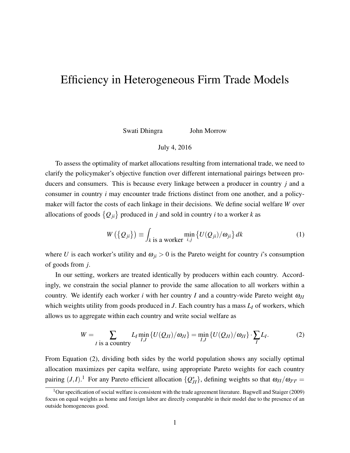## <span id="page-0-1"></span>Efficiency in Heterogeneous Firm Trade Models

Swati Dhingra John Morrow

## July 4, 2016

To assess the optimality of market allocations resulting from international trade, we need to clarify the policymaker's objective function over different international pairings between producers and consumers. This is because every linkage between a producer in country *j* and a consumer in country *i* may encounter trade frictions distinct from one another, and a policymaker will factor the costs of each linkage in their decisions. We define social welfare *W* over allocations of goods  $\{Q_{ji}\}$  produced in *j* and sold in country *i* to a worker *k* as

<span id="page-0-0"></span>
$$
W\left(\left\{Q_{ji}\right\}\right) \equiv \int_{k \text{ is a worker}} \min_{i,j} \left\{ U(Q_{ji})/\omega_{ji} \right\} dk \tag{1}
$$

where *U* is each worker's utility and  $\omega_{ji} > 0$  is the Pareto weight for country *i*'s consumption of goods from *j*.

In our setting, workers are treated identically by producers within each country. Accordingly, we constrain the social planner to provide the same allocation to all workers within a country. We identify each worker *i* with her country *I* and a country-wide Pareto weight  $\omega_{II}$ which weights utility from goods produced in *J*. Each country has a mass *L<sup>I</sup>* of workers, which allows us to aggregate within each country and write social welfare as

$$
W = \sum_{I \text{ is a country}} L_I \min_{I,J} \{ U(Q_{JI})/\omega_{JI} \} = \min_{I,J} \{ U(Q_{JI})/\omega_{JI} \} \cdot \sum_{I} L_I. \tag{2}
$$

From Equation [\(2\)](#page-0-0), dividing both sides by the world population shows any socially optimal allocation maximizes per capita welfare, using appropriate Pareto weights for each country pairing  $(J,I)$ .<sup>1</sup> For any Pareto efficient allocation  $\{Q_{JI}^*\}$ , defining weights so that  $\omega_{JI}/\omega_{J'I'} =$ 

<sup>&</sup>lt;sup>1</sup>Our specification of social welfare is consistent with the trade agreement literature. [Bagwell and Staiger](#page-3-0) [\(2009\)](#page-3-0) focus on equal weights as home and foreign labor are directly comparable in their model due to the presence of an outside homogeneous good.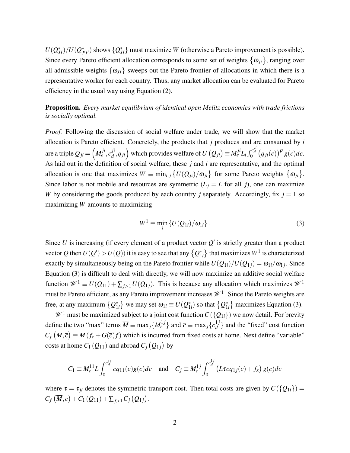$U(Q_{JI}^*)/U(Q_{J}^*)$  $J'_{I'}$  shows  ${Q_{JI}^*}$  must maximize *W* (otherwise a Pareto improvement is possible). Since every Pareto efficient allocation corresponds to some set of weights  $\{\omega_{ji}\}$ , ranging over all admissible weights  $\{\omega_{JI}\}$  sweeps out the Pareto frontier of allocations in which there is a representative worker for each country. Thus, any market allocation can be evaluated for Pareto efficiency in the usual way using Equation [\(2\)](#page-0-0).

Proposition. *Every market equilibrium of identical open Melitz economies with trade frictions is socially optimal.*

*Proof.* Following the discussion of social welfare under trade, we will show that the market allocation is Pareto efficient. Concretely, the products that *j* produces and are consumed by *i* are a triple  $Q_{ji} = \left(M^{ji}_{e}, c^{ji}_{d}\right)$  $\int_{d}^{ji}$ , *q<sub>ji</sub>*</sub> which provides welfare of  $U(Q_{ji}) \equiv M_e^{ji} L_i \int_0^{c_d^{ji}} (q_{ji}(c))^p g(c)dc$ . As laid out in the definition of social welfare, these *j* and *i* are representative, and the optimal allocation is one that maximizes  $W \equiv \min_{i,j} \{ U(Q_{ji})/\omega_{ji} \}$  for some Pareto weights  $\{\omega_{ji}\}.$ Since labor is not mobile and resources are symmetric  $(L_j = L$  for all *j*), one can maximize *W* by considering the goods produced by each country *j* separately. Accordingly, fix  $j = 1$  so maximizing *W* amounts to maximizing

<span id="page-1-0"></span>
$$
W^{1} \equiv \min_{i} \{ U(Q_{1i})/\omega_{1i} \}.
$$
 (3)

Since U is increasing (if every element of a product vector  $Q'$  is strictly greater than a product vector Q then  $U(Q') > U(Q)$ ) it is easy to see that any  ${Q_1^*}$  $\binom{*}{1i}$  that maximizes  $W^1$  is characterized exactly by simultaneously being on the Pareto frontier while  $U(Q_{1i})/U(Q_{1j}) = \omega_{1i}/\omega_{1j}$ . Since Equation [\(3\)](#page-1-0) is difficult to deal with directly, we will now maximize an additive social welfare function  $\mathcal{W}^1 \equiv U(Q_{11}) + \sum_{i>1} U(Q_{1i})$ . This is because any allocation which maximizes  $\mathcal{W}^1$ must be Pareto efficient, as any Pareto improvement increases  $\mathcal{W}^1$ . Since the Pareto weights are free, at any maximum  $\{Q_1^*\}$  $\{a_{1i}\}\}$  we may set  $\omega_{1i} \equiv U(Q_1^*)$  $_{1i}^*$ ) so that  $\{Q_1^*$  $_{1i}^{*}$ } maximizes Equation [\(3\)](#page-1-0).

 $\mathcal{W}^1$  must be maximized subject to a joint cost function  $C({Q_{1i}})$  we now detail. For brevity define the two "max" terms  $\overline{M} \equiv \max_j \{ M_e^{1j} \}$  and  $\overline{c} \equiv \max_j \{ c_d^{1j} \}$  $d \}<sub>d</sub>$  and the "fixed" cost function  $C_f(\overline{M}, \overline{c}) \equiv \overline{M}(f_e + G(\overline{c})f)$  which is incurred from fixed costs at home. Next define "variable" costs at home  $C_1(Q_{11})$  and abroad  $C_j(Q_{1j})$  by

$$
C_1 \equiv M_e^{11} L \int_0^{c_d^{11}} c q_{11}(c) g(c) dc \quad \text{and} \quad C_j \equiv M_e^{1j} \int_0^{c_d^{1j}} \left( L \tau c q_{1j}(c) + f_x \right) g(c) dc
$$

where  $\tau = \tau_{ji}$  denotes the symmetric transport cost. Then total costs are given by  $C({Q_{1i}})$  =  $C_f(\overline{M}, \overline{c}) + C_1(Q_{11}) + \sum_{j>1} C_j(Q_{1j}).$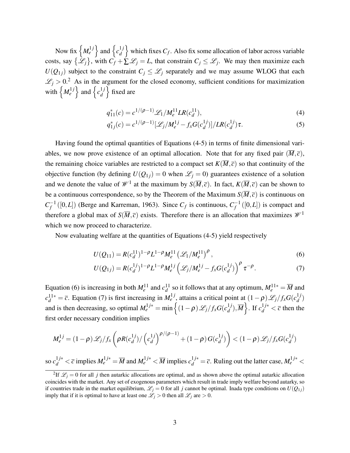Now fix  $\left\{ M_e^{1j} \right\}$  and  $\left\{ c_d^{1j} \right\}$ *d* which fixes  $C_f$ . Also fix some allocation of labor across variable costs, say  $\{\mathscr{L}_j\}$ , with  $C_f + \sum \mathscr{L}_j = L$ , that constrain  $C_j \leq \mathscr{L}_j$ . We may then maximize each  $U(Q_{1j})$  subject to the constraint  $C_j \leq \mathcal{L}_j$  separately and we may assume WLOG that each  $\mathcal{L}_j > 0$ .<sup>[2](#page-0-1)</sup> As in the argument for the closed economy, sufficient conditions for maximization with  $\left\{ M_e^{1j} \right\}$  and  $\left\{ c_d^{1j} \right\}$ *d* o fixed are

<span id="page-2-1"></span><span id="page-2-0"></span>
$$
q_{11}^*(c) = c^{1/(\rho - 1)} \mathcal{L}_1 / M_e^{11} L R(c_d^{11}), \tag{4}
$$

$$
q_{1j}^*(c) = c^{1/(\rho-1)}[\mathcal{L}_j/M_e^{1j} - f_x G(c_d^{1j})]/LR(c_d^{1j})\tau.
$$
 (5)

Having found the optimal quantities of Equations [\(4](#page-2-0)[-5\)](#page-2-1) in terms of finite dimensional variables, we now prove existence of an optimal allocation. Note that for any fixed pair  $(M,\bar{c})$ , the remaining choice variables are restricted to a compact set  $K(\overline{M}, \overline{c})$  so that continuity of the objective function (by defining  $U(Q_{1j}) = 0$  when  $\mathcal{L}_j = 0$ ) guarantees existence of a solution and we denote the value of  $\mathcal{W}^1$  at the maximum by  $S(\overline{M}, \overline{c})$ . In fact,  $K(\overline{M}, \overline{c})$  can be shown to be a continuous correspondence, so by the Theorem of the Maximum  $S(\overline{M}, \overline{c})$  is continuous on  $C_f^{-1}$  $f^{\text{-}1}([0,L])$  [\(Berge and Karreman, 1963\)](#page-3-1). Since  $C_f$  is continuous,  $C_f^{-1}$  $f^{\text{-}1}([0,L])$  is compact and therefore a global max of  $S(\overline{M}, \overline{c})$  exists. Therefore there is an allocation that maximizes  $\mathcal{W}^1$ which we now proceed to characterize.

Now evaluating welfare at the quantities of Equations [\(4](#page-2-0)[-5\)](#page-2-1) yield respectively

<span id="page-2-3"></span><span id="page-2-2"></span>
$$
U(Q_{11}) = R(c_d^{11})^{1-\rho}L^{1-\rho}M_e^{11} \left(\mathcal{L}_1/M_e^{11}\right)^{\rho},\tag{6}
$$

$$
U(Q_{1j}) = R(c_d^{1j})^{1-\rho}L^{1-\rho}M_e^{1j}\left(\mathcal{L}_j/M_e^{1j} - f_xG(c_d^{1j})\right)^{\rho}\tau^{-\rho}.
$$
 (7)

Equation [\(6\)](#page-2-2) is increasing in both  $M_e^{11}$  and  $c_d^{11}$  so it follows that at any optimum,  $M_e^{11*} = \overline{M}$  and  $c_d^{11*} = \overline{c}$ . Equation [\(7\)](#page-2-3) is first increasing in  $M_e^{1j}$ , attains a critical point at  $(1 - \rho) \mathcal{L}_j / f_x G(c_d^{1j})$  $\binom{1}{d}$ and is then decreasing, so optimal  $M_e^{1j*} = \min \left\{ (1-\rho) \mathcal{L}_j / f_x G(c_d^{1j}) \right\}$  $\left\{\frac{1}{d}$ ,  $\overline{M}\right\}$ . If  $c_d^{1j*} < \overline{c}$  then the first order necessary condition implies

$$
M_e^{1j} = (1-\rho)\mathscr{L}_j/f_x\left(\rho R(c_d^{1j})/\left(c_d^{1j}\right)^{\rho/(\rho-1)} + (1-\rho)G(c_d^{1j})\right) < (1-\rho)\mathscr{L}_j/f_xG(c_d^{1j})
$$

so  $c_d^{1j*} < \overline{c}$  implies  $M_e^{1j*} = \overline{M}$  and  $M_e^{1j*} < \overline{M}$  implies  $c_d^{1j*} = \overline{c}$ . Ruling out the latter case,  $M_e^{1j*} <$ 

<sup>&</sup>lt;sup>2</sup>If  $\mathcal{L}_j = 0$  for all *j* then autarkic allocations are optimal, and as shown above the optimal autarkic allocation coincides with the market. Any set of exogenous parameters which result in trade imply welfare beyond autarky, so if countries trade in the market equilibrium,  $\mathcal{L}_j = 0$  for all *j* cannot be optimal. Inada type conditions on  $U(Q_{1j})$ imply that if it is optimal to have at least one  $\mathcal{L}_j > 0$  then all  $\mathcal{L}_j$  are  $> 0$ .